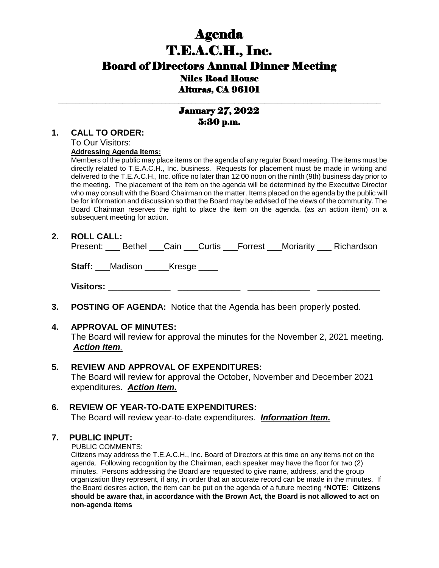# Agenda T.E.A.C.H., Inc. Board of Directors Annual Dinner Meeting Niles Road House Alturas, CA 96101

# January 27, 2022 5:30 p.m.

\_\_\_\_\_\_\_\_\_\_\_\_\_\_\_\_\_\_\_\_\_\_\_\_\_\_\_\_\_\_\_\_\_\_\_\_\_\_\_\_\_\_\_\_\_\_\_\_\_\_\_\_\_\_\_\_\_\_\_\_\_\_\_\_\_\_\_\_\_\_\_\_\_\_\_

#### **1. CALL TO ORDER:**

To Our Visitors:

#### **Addressing Agenda Items:**

Members of the public may place items on the agenda of any regular Board meeting. The items must be directly related to T.E.A.C.H., Inc. business. Requests for placement must be made in writing and delivered to the T.E.A.C.H., Inc. office no later than 12:00 noon on the ninth (9th) business day prior to the meeting. The placement of the item on the agenda will be determined by the Executive Director who may consult with the Board Chairman on the matter. Items placed on the agenda by the public will be for information and discussion so that the Board may be advised of the views of the community. The Board Chairman reserves the right to place the item on the agenda, (as an action item) on a subsequent meeting for action.

#### **2. ROLL CALL:**

|  |  |  |  |  | Present: Bethel Cain Curtis Forrest Moriarity | Richardson |
|--|--|--|--|--|-----------------------------------------------|------------|
|--|--|--|--|--|-----------------------------------------------|------------|

**Staff:** \_\_\_Madison \_\_\_\_\_Kresge \_\_\_\_

**Visitors:** \_\_\_\_\_\_\_\_\_\_\_\_\_ \_\_\_\_\_\_\_\_\_\_\_\_\_ \_\_\_\_\_\_\_\_\_\_\_\_\_ \_\_\_\_\_\_\_\_\_\_\_\_\_

**3. POSTING OF AGENDA:** Notice that the Agenda has been properly posted.

#### **4. APPROVAL OF MINUTES:**

The Board will review for approval the minutes for the November 2, 2021 meeting. *Action Item.*

# **5. REVIEW AND APPROVAL OF EXPENDITURES:**

The Board will review for approval the October, November and December 2021 expenditures. *Action Item.*

# **6. REVIEW OF YEAR-TO-DATE EXPENDITURES:**

The Board will review year-to-date expenditures. *Information Item.*

#### **7. PUBLIC INPUT:**

PUBLIC COMMENTS:

Citizens may address the T.E.A.C.H., Inc. Board of Directors at this time on any items not on the agenda. Following recognition by the Chairman, each speaker may have the floor for two (2) minutes. Persons addressing the Board are requested to give name, address, and the group organization they represent, if any, in order that an accurate record can be made in the minutes. If the Board desires action, the item can be put on the agenda of a future meeting \***NOTE: Citizens should be aware that, in accordance with the Brown Act, the Board is not allowed to act on non-agenda items**